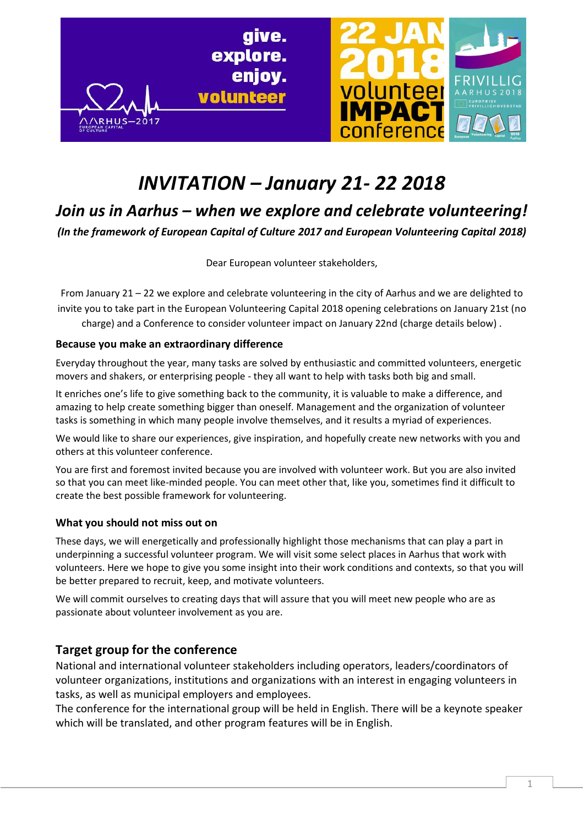

# *INVITATION – January 21- 22 2018*

# *Join us in Aarhus – when we explore and celebrate volunteering!*

*(In the framework of European Capital of Culture 2017 and European Volunteering Capital 2018)*

Dear European volunteer stakeholders,

From January 21 – 22 we explore and celebrate volunteering in the city of Aarhus and we are delighted to invite you to take part in the European Volunteering Capital 2018 opening celebrations on January 21st (no charge) and a Conference to consider volunteer impact on January 22nd (charge details below) .

#### **Because you make an extraordinary difference**

Everyday throughout the year, many tasks are solved by enthusiastic and committed volunteers, energetic movers and shakers, or enterprising people - they all want to help with tasks both big and small.

It enriches one's life to give something back to the community, it is valuable to make a difference, and amazing to help create something bigger than oneself. Management and the organization of volunteer tasks is something in which many people involve themselves, and it results a myriad of experiences.

We would like to share our experiences, give inspiration, and hopefully create new networks with you and others at this volunteer conference.

You are first and foremost invited because you are involved with volunteer work. But you are also invited so that you can meet like-minded people. You can meet other that, like you, sometimes find it difficult to create the best possible framework for volunteering.

#### **What you should not miss out on**

These days, we will energetically and professionally highlight those mechanisms that can play a part in underpinning a successful volunteer program. We will visit some select places in Aarhus that work with volunteers. Here we hope to give you some insight into their work conditions and contexts, so that you will be better prepared to recruit, keep, and motivate volunteers.

We will commit ourselves to creating days that will assure that you will meet new people who are as passionate about volunteer involvement as you are.

# **Target group for the conference**

National and international volunteer stakeholders including operators, leaders/coordinators of volunteer organizations, institutions and organizations with an interest in engaging volunteers in tasks, as well as municipal employers and employees.

The conference for the international group will be held in English. There will be a keynote speaker which will be translated, and other program features will be in English.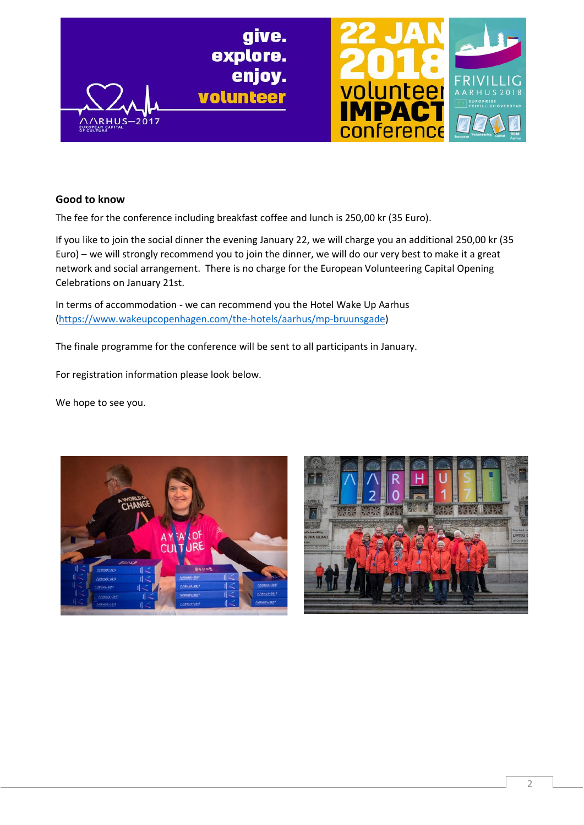

#### **Good to know**

The fee for the conference including breakfast coffee and lunch is 250,00 kr (35 Euro).

If you like to join the social dinner the evening January 22, we will charge you an additional 250,00 kr (35 Euro) – we will strongly recommend you to join the dinner, we will do our very best to make it a great network and social arrangement. There is no charge for the European Volunteering Capital Opening Celebrations on January 21st.

In terms of accommodation - we can recommend you the Hotel Wake Up Aarhus (https://www.wakeupcopenhagen.com/the-hotels/aarhus/mp-bruunsgade)

The finale programme for the conference will be sent to all participants in January.

For registration information please look below.

We hope to see you.



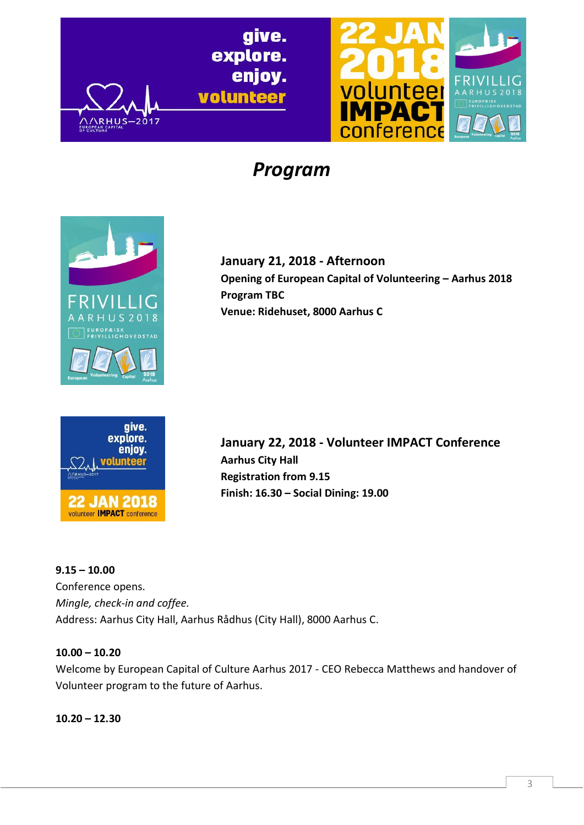give. explore. enjoy. volunteer



# *Program*



 $-2017$ 

**January 21, 2018 - Afternoon Opening of European Capital of Volunteering – Aarhus 2018 Program TBC Venue: Ridehuset, 8000 Aarhus C**



**January 22, 2018 - Volunteer IMPACT Conference Aarhus City Hall Registration from 9.15 Finish: 16.30 – Social Dining: 19.00**

**9.15 – 10.00** Conference opens. *Mingle, check-in and coffee.* Address: Aarhus City Hall, Aarhus Rådhus (City Hall), 8000 Aarhus C.

#### **10.00 – 10.20**

Welcome by European Capital of Culture Aarhus 2017 - CEO Rebecca Matthews and handover of Volunteer program to the future of Aarhus.

**10.20 – 12.30**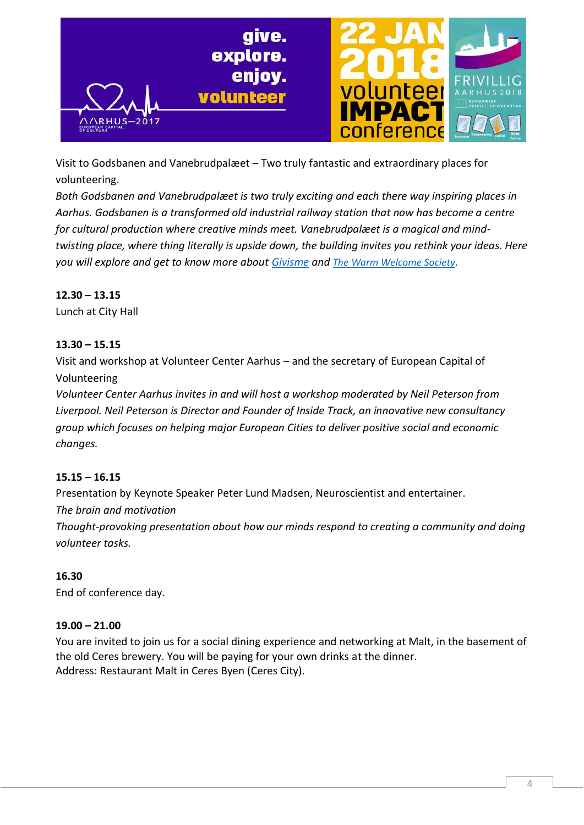

Visit to Godsbanen and Vanebrudpalæet – Two truly fantastic and extraordinary places for volunteering.

*Both Godsbanen and Vanebrudpalæet is two truly exciting and each there way inspiring places in Aarhus. Godsbanen is a transformed old industrial railway station that now has become a centre for cultural production where creative minds meet. Vanebrudpalæet is a magical and mindtwisting place, where thing literally is upside down, the building invites you rethink your ideas. Here you will explore and get to know more about Givisme and The Warm Welcome Society.* 

### **12.30 – 13.15**

Lunch at City Hall

### **13.30 – 15.15**

Visit and workshop at Volunteer Center Aarhus – and the secretary of European Capital of Volunteering

*Volunteer Center Aarhus invites in and will host a workshop moderated by Neil Peterson from Liverpool. Neil Peterson is Director and Founder of Inside Track, an innovative new consultancy group which focuses on helping major European Cities to deliver positive social and economic changes.*

#### **15.15 – 16.15**

Presentation by Keynote Speaker Peter Lund Madsen, Neuroscientist and entertainer. *The brain and motivation*

*Thought-provoking presentation about how our minds respond to creating a community and doing volunteer tasks.*

#### **16.30**

End of conference day.

#### **19.00 – 21.00**

You are invited to join us for a social dining experience and networking at Malt, in the basement of the old Ceres brewery. You will be paying for your own drinks at the dinner. Address: Restaurant Malt in Ceres Byen (Ceres City).